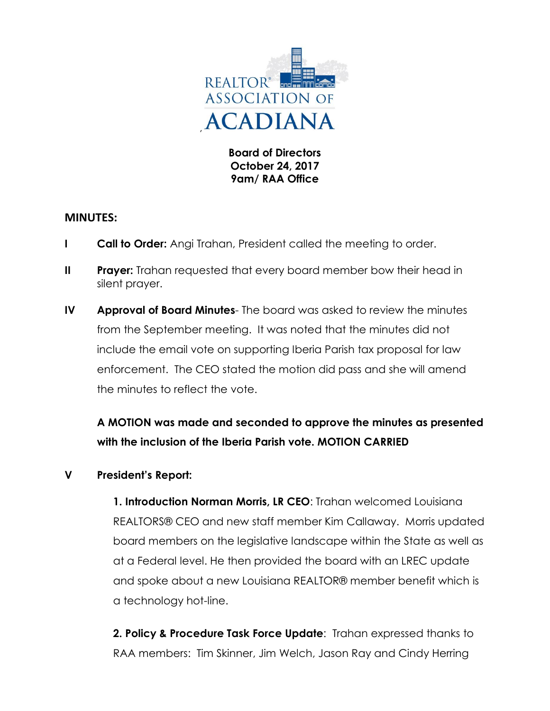

**Board of Directors October 24, 2017 9am/ RAA Office**

## **MINUTES:**

- **I Call to Order:** Angi Trahan, President called the meeting to order.
- **II** Prayer: Trahan requested that every board member bow their head in silent prayer.
- **IV Approval of Board Minutes** The board was asked to review the minutes from the September meeting. It was noted that the minutes did not include the email vote on supporting Iberia Parish tax proposal for law enforcement. The CEO stated the motion did pass and she will amend the minutes to reflect the vote.

**A MOTION was made and seconded to approve the minutes as presented with the inclusion of the Iberia Parish vote. MOTION CARRIED**

## **V President's Report:**

**1. Introduction Norman Morris, LR CEO**: Trahan welcomed Louisiana REALTORS® CEO and new staff member Kim Callaway. Morris updated board members on the legislative landscape within the State as well as at a Federal level. He then provided the board with an LREC update and spoke about a new Louisiana REALTOR® member benefit which is a technology hot-line.

**2. Policy & Procedure Task Force Update**: Trahan expressed thanks to RAA members: Tim Skinner, Jim Welch, Jason Ray and Cindy Herring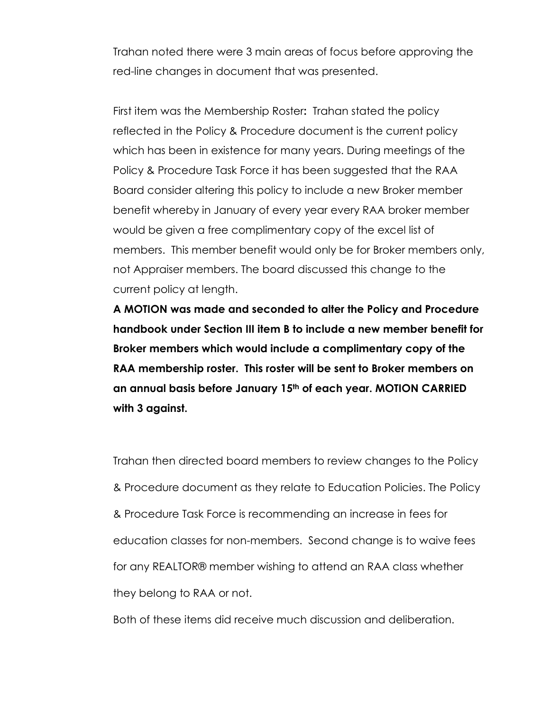Trahan noted there were 3 main areas of focus before approving the red-line changes in document that was presented.

First item was the Membership Roster**:** Trahan stated the policy reflected in the Policy & Procedure document is the current policy which has been in existence for many years. During meetings of the Policy & Procedure Task Force it has been suggested that the RAA Board consider altering this policy to include a new Broker member benefit whereby in January of every year every RAA broker member would be given a free complimentary copy of the excel list of members. This member benefit would only be for Broker members only, not Appraiser members. The board discussed this change to the current policy at length.

**A MOTION was made and seconded to alter the Policy and Procedure handbook under Section III item B to include a new member benefit for Broker members which would include a complimentary copy of the RAA membership roster. This roster will be sent to Broker members on an annual basis before January 15th of each year. MOTION CARRIED with 3 against.**

Trahan then directed board members to review changes to the Policy & Procedure document as they relate to Education Policies. The Policy & Procedure Task Force is recommending an increase in fees for education classes for non-members. Second change is to waive fees for any REALTOR® member wishing to attend an RAA class whether they belong to RAA or not.

Both of these items did receive much discussion and deliberation.